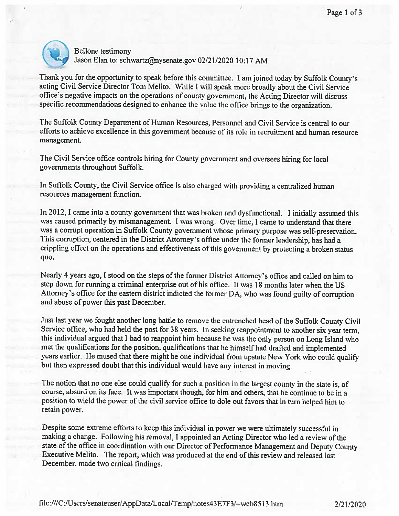

Bellone testimony Jason Elan to: schwartz@nysenate.gov 02/21/2020 10:17 AM

Thank you for the opportunity to speak before this committee. <sup>I</sup> am joined today by Suffolk County's acting Civil Service Director Tom Melito. While <sup>I</sup> will speak more broadly about the Civil Service office's negative impacts on the operations of county government, the Acting Director will discuss specific recommendations designed to enhance the value the office brings to the organization.

The Suffolk County Department of Human Resources, Personnel and Civil Service is central to our efforts to achieve excellence in this government because of its role in recruitment and human resource management.

The Civil Service office controls hiring for County government and oversees hiring for local governments throughout Suffolk.

In Suffolk County, the Civil Service office is also charged with providing <sup>a</sup> centralized human resources management function.

In 2012, <sup>I</sup> came into <sup>a</sup> county government that was broken and dysfunctional. <sup>I</sup> initially assumed this was caused primarily by mismanagement. <sup>I</sup> was wrong. Over time, <sup>I</sup> came to understand that there was a corrupt operation in Suffolk County government whose primary purpose was self-preservation. This corruption, centered in the District Attorney's office under the former leadership, has had <sup>a</sup> crippling effect on the operations and effectiveness of this government by protecting <sup>a</sup> broken status quo.

Nearly <sup>4</sup> years ago, <sup>I</sup> stood on the steps of the former District Attorney's office and called on him to step down for running <sup>a</sup> criminal enterprise out of his office. It was 18 months later when the US Attorney's office for the eastern district indicted the former DA, who was found guilty of corruption and abuse of power this past December.

Just last year we fought another long battle to remove the entrenched head of the Suffolk County Civil Service office, who had held the post for <sup>38</sup> years. In seeking reappointment to another six year term, this individual argued that <sup>I</sup> had to reappoint him because he was the only person on Long Island who met the qualifications for the position. qualifications that he himself had drafted and implemented years earlier. He mused that there might be one individual from upstate New York who could qualify but then expressed doubt that this individual would have any interest in moving.

The notion that no one else could qualify for such a position in the largest county in the state is, of course, absurd on its face. It was important though, for him and others, that he continue to be in <sup>a</sup> position to wield the power of the civil service office to dole out favors that in turn helped him to retain power.

Despite some extreme efforts to keep this individual in power we were ultimately successful in making <sup>a</sup> change. Following his removal, <sup>I</sup> appointed an Acting Director who led <sup>a</sup> review of the state of the office in coordination with our Director of Performance Management and Deputy County Executive Melito. The report, which was produced at the end of this review and released last December, made two criticai findings.

file:///C:/Users/senateuser/AppData/Local/Temp/notes43E7F3/~web8513.htm 2/21/2020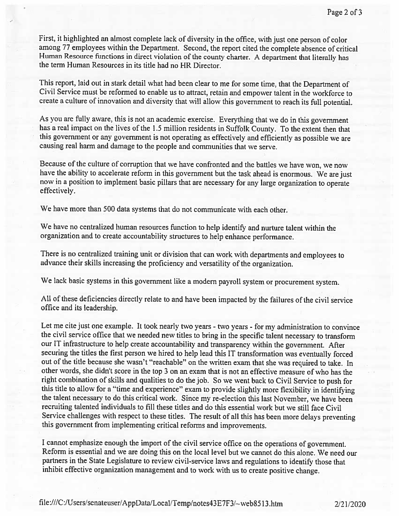First, it highlighted an almost complete lack of diversity in the office, with just one person of color among <sup>77</sup> employees within the Department. Second, the report cited the complete absence of critical Human Resource functions in direct violation of the county charter. <sup>A</sup> department that literally has the term Human Resources in its title had no HR Director.

This report, laid out in stark detail what had been clear to me for some time, that the Department of Civil Service must be reformed to enable us to attract, retain and empower talent in the workforce to create <sup>a</sup> culture of innovation and diversity that vill allow this government to reach its full potential.

As you are fully aware, this is not an academic exercise. Everything that we do in this government has <sup>a</sup> real impact on the lives of the 1.5 million residents in Suffolk County. To the extent then that this government or any government is not operating as effectively and efficiently as possible we are causing real harm and damage to the people and communities that we serve.

Because of the culture of corruption that we have confronted and the battles we have won, we now have the ability to accelerate reform in this government but the task ahead is enormous. We are just now in <sup>a</sup> position to implement basic <sup>p</sup>illars that are necessary for any large organization to operate effectively.

We have more than 500 data systems that do not communicate with each other.

We have no centralized human resources function to help identify and nurture talent within the organization and to create accountability structures to help enhance performance.

There is no centralized training unit or division that can work with departments and employees to advance their skills increasing the proficiency and versatility of the organization.

We lack basic systems in this government like <sup>a</sup> modem payroll system or procurement system.

All of these deficiencies directly relate to and have been impacted by the failures of the civil service office and its leadership.

Let me cite just one example. It took nearly two years - two years - for my administration to convince the civil service office that we needed new titles to bring in the specific talent necessary to transform our IT infrastructure to help create accountability and transparency within the government. After securing the titles the first person we hired to help lead this IT transformation was eventually forced out of the title because she wasn't "reachable" on the written exam that she was required to take. In other words, she didn't score in the top <sup>3</sup> on an exam that is not an effective measure of who has the right combination of skills and qualities to do the job. So we went back to Civil Service to pus<sup>h</sup> for this title to allow for a "time and experience" exam to provide slightly more flexibility in identifying the talent necessary to do this critical work. Since my re-election this last November, we have been recruiting talented individuals to fill these titles and do this essential work but we still face Civil Service challenges with respect to these titles. The result of all this has been more delays preventing this government from implementing critical reforms and improvements.

<sup>I</sup> cannot emphasize enoug<sup>h</sup> the import of the civil service office on the operations of government. Reform is essential and we are doing this on the local level but we cannot do this alone. We need our partners in the State Legislature to review civil-service laws and regulations to identify those that inhibit effective organization management and to work with us to create positive change.

file:///CiUsers!senateuser/AppDatafLocal/Temp/notes43E7F3/—web85 <sup>1</sup> 3.htm 2/21/2020